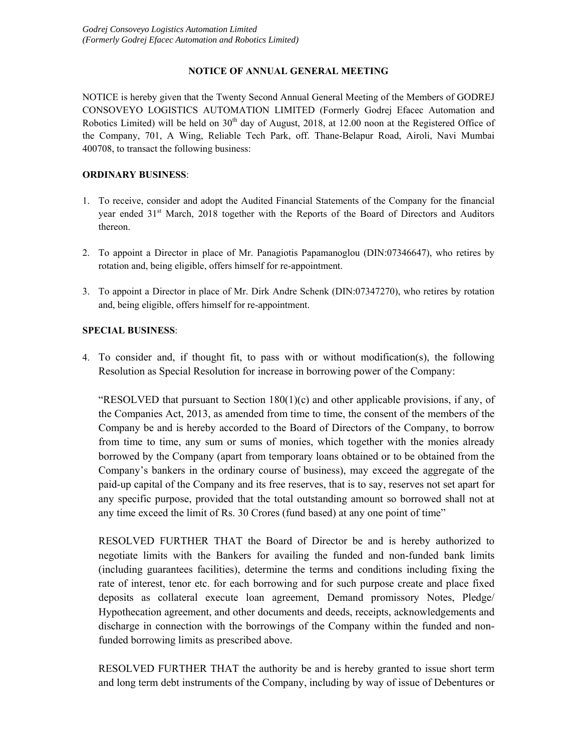# **NOTICE OF ANNUAL GENERAL MEETING**

NOTICE is hereby given that the Twenty Second Annual General Meeting of the Members of GODREJ CONSOVEYO LOGISTICS AUTOMATION LIMITED (Formerly Godrej Efacec Automation and Robotics Limited) will be held on 30<sup>th</sup> day of August, 2018, at 12.00 noon at the Registered Office of the Company, 701, A Wing, Reliable Tech Park, off. Thane-Belapur Road, Airoli, Navi Mumbai 400708, to transact the following business:

# **ORDINARY BUSINESS**:

- 1. To receive, consider and adopt the Audited Financial Statements of the Company for the financial year ended 31<sup>st</sup> March, 2018 together with the Reports of the Board of Directors and Auditors thereon.
- 2. To appoint a Director in place of Mr. Panagiotis Papamanoglou (DIN:07346647), who retires by rotation and, being eligible, offers himself for re-appointment.
- 3. To appoint a Director in place of Mr. Dirk Andre Schenk (DIN:07347270), who retires by rotation and, being eligible, offers himself for re-appointment.

# **SPECIAL BUSINESS**:

4. To consider and, if thought fit, to pass with or without modification(s), the following Resolution as Special Resolution for increase in borrowing power of the Company:

"RESOLVED that pursuant to Section  $180(1)(c)$  and other applicable provisions, if any, of the Companies Act, 2013, as amended from time to time, the consent of the members of the Company be and is hereby accorded to the Board of Directors of the Company, to borrow from time to time, any sum or sums of monies, which together with the monies already borrowed by the Company (apart from temporary loans obtained or to be obtained from the Company's bankers in the ordinary course of business), may exceed the aggregate of the paid-up capital of the Company and its free reserves, that is to say, reserves not set apart for any specific purpose, provided that the total outstanding amount so borrowed shall not at any time exceed the limit of Rs. 30 Crores (fund based) at any one point of time"

RESOLVED FURTHER THAT the Board of Director be and is hereby authorized to negotiate limits with the Bankers for availing the funded and non-funded bank limits (including guarantees facilities), determine the terms and conditions including fixing the rate of interest, tenor etc. for each borrowing and for such purpose create and place fixed deposits as collateral execute loan agreement, Demand promissory Notes, Pledge/ Hypothecation agreement, and other documents and deeds, receipts, acknowledgements and discharge in connection with the borrowings of the Company within the funded and nonfunded borrowing limits as prescribed above.

RESOLVED FURTHER THAT the authority be and is hereby granted to issue short term and long term debt instruments of the Company, including by way of issue of Debentures or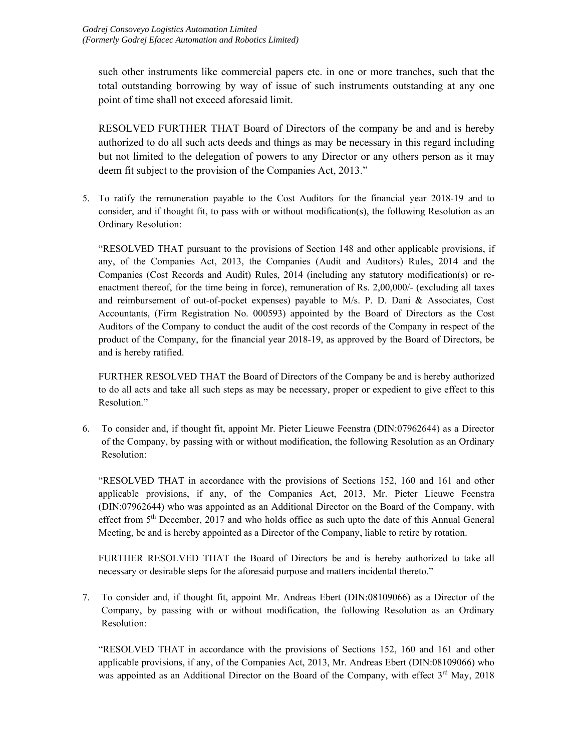such other instruments like commercial papers etc. in one or more tranches, such that the total outstanding borrowing by way of issue of such instruments outstanding at any one point of time shall not exceed aforesaid limit.

RESOLVED FURTHER THAT Board of Directors of the company be and and is hereby authorized to do all such acts deeds and things as may be necessary in this regard including but not limited to the delegation of powers to any Director or any others person as it may deem fit subject to the provision of the Companies Act, 2013."

5. To ratify the remuneration payable to the Cost Auditors for the financial year 2018-19 and to consider, and if thought fit, to pass with or without modification(s), the following Resolution as an Ordinary Resolution:

 "RESOLVED THAT pursuant to the provisions of Section 148 and other applicable provisions, if any, of the Companies Act, 2013, the Companies (Audit and Auditors) Rules, 2014 and the Companies (Cost Records and Audit) Rules, 2014 (including any statutory modification(s) or reenactment thereof, for the time being in force), remuneration of Rs. 2,00,000/- (excluding all taxes and reimbursement of out-of-pocket expenses) payable to M/s. P. D. Dani & Associates, Cost Accountants, (Firm Registration No. 000593) appointed by the Board of Directors as the Cost Auditors of the Company to conduct the audit of the cost records of the Company in respect of the product of the Company, for the financial year 2018-19, as approved by the Board of Directors, be and is hereby ratified.

 FURTHER RESOLVED THAT the Board of Directors of the Company be and is hereby authorized to do all acts and take all such steps as may be necessary, proper or expedient to give effect to this Resolution."

6. To consider and, if thought fit, appoint Mr. Pieter Lieuwe Feenstra (DIN:07962644) as a Director of the Company, by passing with or without modification, the following Resolution as an Ordinary Resolution:

 "RESOLVED THAT in accordance with the provisions of Sections 152, 160 and 161 and other applicable provisions, if any, of the Companies Act, 2013, Mr. Pieter Lieuwe Feenstra (DIN:07962644) who was appointed as an Additional Director on the Board of the Company, with effect from 5<sup>th</sup> December, 2017 and who holds office as such upto the date of this Annual General Meeting, be and is hereby appointed as a Director of the Company, liable to retire by rotation.

 FURTHER RESOLVED THAT the Board of Directors be and is hereby authorized to take all necessary or desirable steps for the aforesaid purpose and matters incidental thereto."

7. To consider and, if thought fit, appoint Mr. Andreas Ebert (DIN:08109066) as a Director of the Company, by passing with or without modification, the following Resolution as an Ordinary Resolution:

 "RESOLVED THAT in accordance with the provisions of Sections 152, 160 and 161 and other applicable provisions, if any, of the Companies Act, 2013, Mr. Andreas Ebert (DIN:08109066) who was appointed as an Additional Director on the Board of the Company, with effect  $3^{rd}$  May, 2018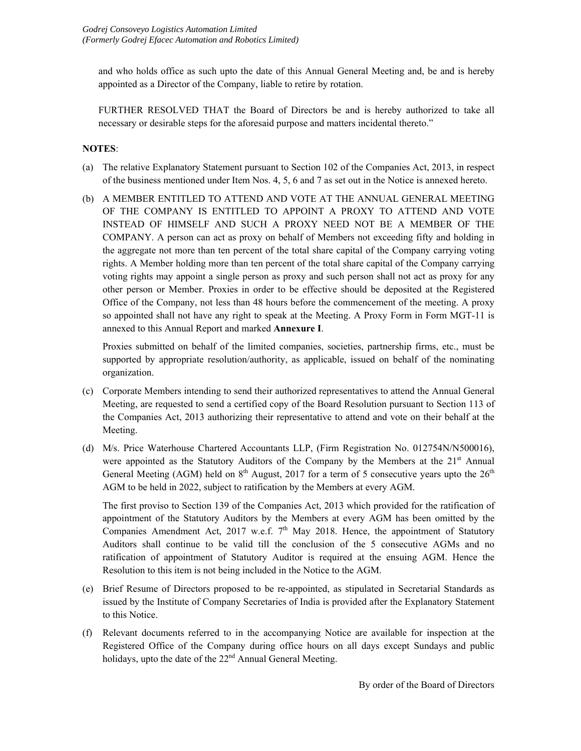and who holds office as such upto the date of this Annual General Meeting and, be and is hereby appointed as a Director of the Company, liable to retire by rotation.

 FURTHER RESOLVED THAT the Board of Directors be and is hereby authorized to take all necessary or desirable steps for the aforesaid purpose and matters incidental thereto."

# **NOTES**:

- (a) The relative Explanatory Statement pursuant to Section 102 of the Companies Act, 2013, in respect of the business mentioned under Item Nos. 4, 5, 6 and 7 as set out in the Notice is annexed hereto.
- (b) A MEMBER ENTITLED TO ATTEND AND VOTE AT THE ANNUAL GENERAL MEETING OF THE COMPANY IS ENTITLED TO APPOINT A PROXY TO ATTEND AND VOTE INSTEAD OF HIMSELF AND SUCH A PROXY NEED NOT BE A MEMBER OF THE COMPANY. A person can act as proxy on behalf of Members not exceeding fifty and holding in the aggregate not more than ten percent of the total share capital of the Company carrying voting rights. A Member holding more than ten percent of the total share capital of the Company carrying voting rights may appoint a single person as proxy and such person shall not act as proxy for any other person or Member. Proxies in order to be effective should be deposited at the Registered Office of the Company, not less than 48 hours before the commencement of the meeting. A proxy so appointed shall not have any right to speak at the Meeting. A Proxy Form in Form MGT-11 is annexed to this Annual Report and marked **Annexure I**.

 Proxies submitted on behalf of the limited companies, societies, partnership firms, etc., must be supported by appropriate resolution/authority, as applicable, issued on behalf of the nominating organization.

- (c) Corporate Members intending to send their authorized representatives to attend the Annual General Meeting, are requested to send a certified copy of the Board Resolution pursuant to Section 113 of the Companies Act, 2013 authorizing their representative to attend and vote on their behalf at the Meeting.
- (d) M/s. Price Waterhouse Chartered Accountants LLP, (Firm Registration No. 012754N/N500016), were appointed as the Statutory Auditors of the Company by the Members at the  $21<sup>st</sup>$  Annual General Meeting (AGM) held on  $8<sup>th</sup>$  August, 2017 for a term of 5 consecutive years upto the  $26<sup>th</sup>$ AGM to be held in 2022, subject to ratification by the Members at every AGM.

The first proviso to Section 139 of the Companies Act, 2013 which provided for the ratification of appointment of the Statutory Auditors by the Members at every AGM has been omitted by the Companies Amendment Act, 2017 w.e.f.  $7<sup>th</sup>$  May 2018. Hence, the appointment of Statutory Auditors shall continue to be valid till the conclusion of the 5 consecutive AGMs and no ratification of appointment of Statutory Auditor is required at the ensuing AGM. Hence the Resolution to this item is not being included in the Notice to the AGM.

- (e) Brief Resume of Directors proposed to be re-appointed, as stipulated in Secretarial Standards as issued by the Institute of Company Secretaries of India is provided after the Explanatory Statement to this Notice.
- (f) Relevant documents referred to in the accompanying Notice are available for inspection at the Registered Office of the Company during office hours on all days except Sundays and public holidays, upto the date of the  $22<sup>nd</sup>$  Annual General Meeting.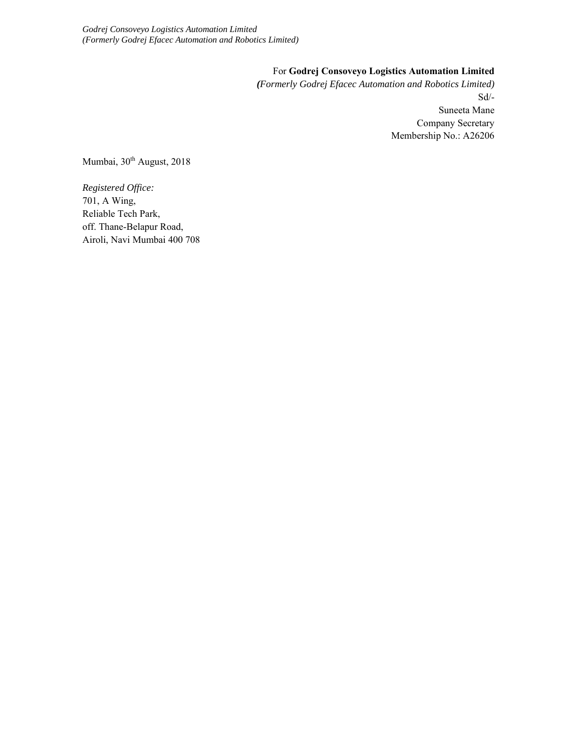*Godrej Consoveyo Logistics Automation Limited (Formerly Godrej Efacec Automation and Robotics Limited)* 

## For **Godrej Consoveyo Logistics Automation Limited**

*(Formerly Godrej Efacec Automation and Robotics Limited)*  Sd/- Suneeta Mane Company Secretary Membership No.: A26206

Mumbai, 30<sup>th</sup> August, 2018

*Registered Office:*  701, A Wing, Reliable Tech Park, off. Thane-Belapur Road, Airoli, Navi Mumbai 400 708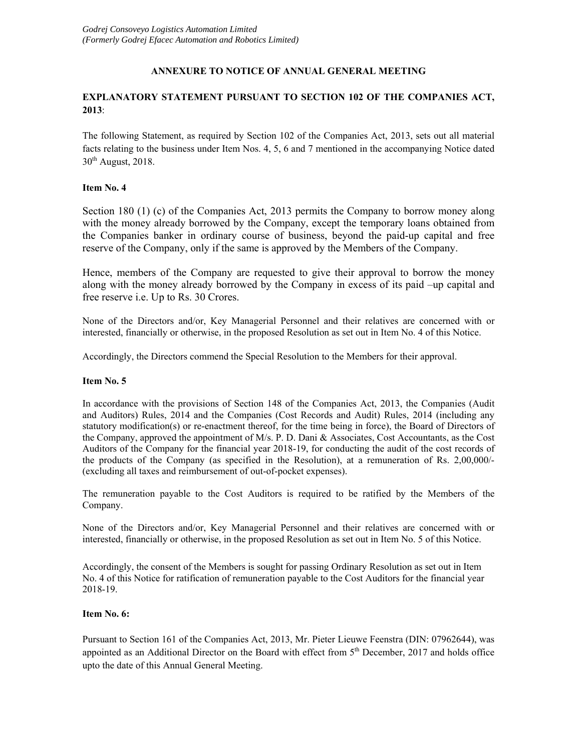## **ANNEXURE TO NOTICE OF ANNUAL GENERAL MEETING**

# **EXPLANATORY STATEMENT PURSUANT TO SECTION 102 OF THE COMPANIES ACT, 2013**:

The following Statement, as required by Section 102 of the Companies Act, 2013, sets out all material facts relating to the business under Item Nos. 4, 5, 6 and 7 mentioned in the accompanying Notice dated  $30<sup>th</sup>$  August, 2018.

## **Item No. 4**

Section 180 (1) (c) of the Companies Act, 2013 permits the Company to borrow money along with the money already borrowed by the Company, except the temporary loans obtained from the Companies banker in ordinary course of business, beyond the paid-up capital and free reserve of the Company, only if the same is approved by the Members of the Company.

Hence, members of the Company are requested to give their approval to borrow the money along with the money already borrowed by the Company in excess of its paid –up capital and free reserve i.e. Up to Rs. 30 Crores.

None of the Directors and/or, Key Managerial Personnel and their relatives are concerned with or interested, financially or otherwise, in the proposed Resolution as set out in Item No. 4 of this Notice.

Accordingly, the Directors commend the Special Resolution to the Members for their approval.

#### **Item No. 5**

In accordance with the provisions of Section 148 of the Companies Act, 2013, the Companies (Audit and Auditors) Rules, 2014 and the Companies (Cost Records and Audit) Rules, 2014 (including any statutory modification(s) or re-enactment thereof, for the time being in force), the Board of Directors of the Company, approved the appointment of M/s. P. D. Dani & Associates, Cost Accountants, as the Cost Auditors of the Company for the financial year 2018-19, for conducting the audit of the cost records of the products of the Company (as specified in the Resolution), at a remuneration of Rs. 2,00,000/- (excluding all taxes and reimbursement of out-of-pocket expenses).

The remuneration payable to the Cost Auditors is required to be ratified by the Members of the Company.

None of the Directors and/or, Key Managerial Personnel and their relatives are concerned with or interested, financially or otherwise, in the proposed Resolution as set out in Item No. 5 of this Notice.

Accordingly, the consent of the Members is sought for passing Ordinary Resolution as set out in Item No. 4 of this Notice for ratification of remuneration payable to the Cost Auditors for the financial year 2018-19.

#### **Item No. 6:**

Pursuant to Section 161 of the Companies Act, 2013, Mr. Pieter Lieuwe Feenstra (DIN: 07962644), was appointed as an Additional Director on the Board with effect from 5<sup>th</sup> December, 2017 and holds office upto the date of this Annual General Meeting.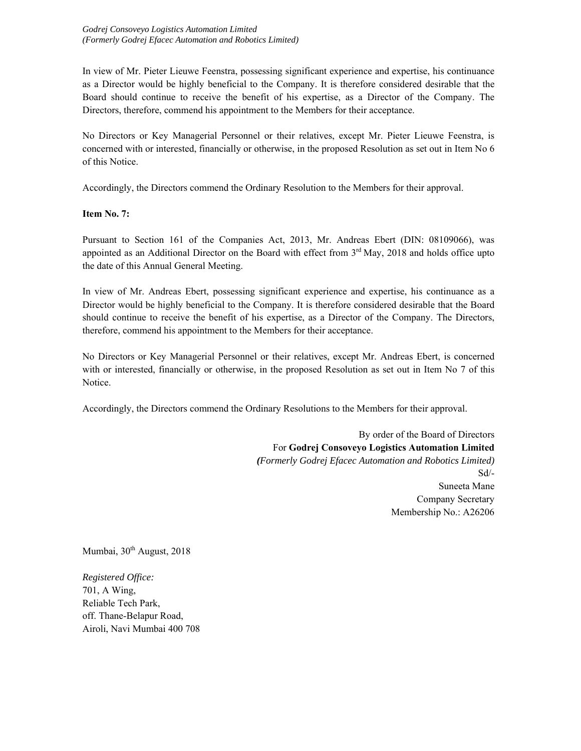*Godrej Consoveyo Logistics Automation Limited (Formerly Godrej Efacec Automation and Robotics Limited)* 

In view of Mr. Pieter Lieuwe Feenstra, possessing significant experience and expertise, his continuance as a Director would be highly beneficial to the Company. It is therefore considered desirable that the Board should continue to receive the benefit of his expertise, as a Director of the Company. The Directors, therefore, commend his appointment to the Members for their acceptance.

No Directors or Key Managerial Personnel or their relatives, except Mr. Pieter Lieuwe Feenstra, is concerned with or interested, financially or otherwise, in the proposed Resolution as set out in Item No 6 of this Notice.

Accordingly, the Directors commend the Ordinary Resolution to the Members for their approval.

**Item No. 7:** 

Pursuant to Section 161 of the Companies Act, 2013, Mr. Andreas Ebert (DIN: 08109066), was appointed as an Additional Director on the Board with effect from 3<sup>rd</sup> May, 2018 and holds office upto the date of this Annual General Meeting.

In view of Mr. Andreas Ebert, possessing significant experience and expertise, his continuance as a Director would be highly beneficial to the Company. It is therefore considered desirable that the Board should continue to receive the benefit of his expertise, as a Director of the Company. The Directors, therefore, commend his appointment to the Members for their acceptance.

No Directors or Key Managerial Personnel or their relatives, except Mr. Andreas Ebert, is concerned with or interested, financially or otherwise, in the proposed Resolution as set out in Item No 7 of this Notice.

Accordingly, the Directors commend the Ordinary Resolutions to the Members for their approval.

By order of the Board of Directors For **Godrej Consoveyo Logistics Automation Limited**  *(Formerly Godrej Efacec Automation and Robotics Limited)*  Sd/- Suneeta Mane Company Secretary Membership No.: A26206

Mumbai, 30<sup>th</sup> August, 2018

*Registered Office:*  701, A Wing, Reliable Tech Park, off. Thane-Belapur Road, Airoli, Navi Mumbai 400 708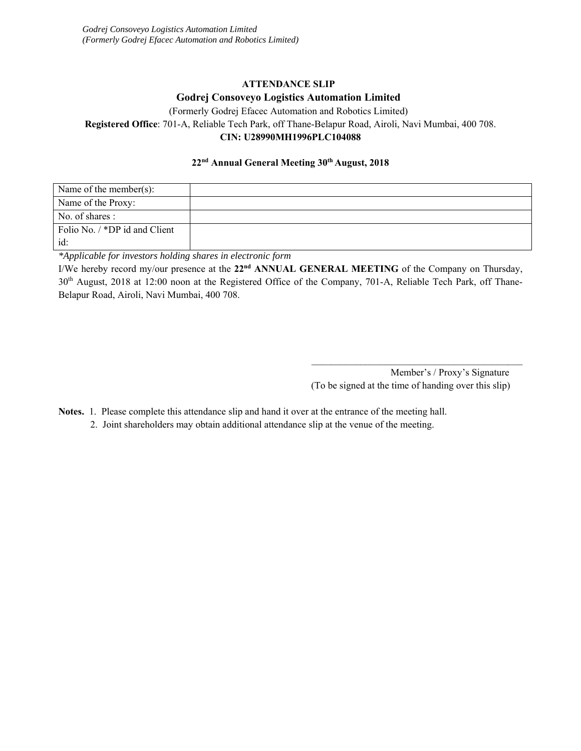# **ATTENDANCE SLIP Godrej Consoveyo Logistics Automation Limited**

(Formerly Godrej Efacec Automation and Robotics Limited)

**Registered Office**: 701-A, Reliable Tech Park, off Thane-Belapur Road, Airoli, Navi Mumbai, 400 708.

# **CIN: U28990MH1996PLC104088**

# **22nd Annual General Meeting 30th August, 2018**

| Name of the member(s):        |  |
|-------------------------------|--|
| Name of the Proxy:            |  |
| No. of shares :               |  |
| Folio No. / *DP id and Client |  |
| id:                           |  |

*\*Applicable for investors holding shares in electronic form* 

I/We hereby record my/our presence at the **22nd ANNUAL GENERAL MEETING** of the Company on Thursday, 30<sup>th</sup> August, 2018 at 12:00 noon at the Registered Office of the Company, 701-A, Reliable Tech Park, off Thane-Belapur Road, Airoli, Navi Mumbai, 400 708.

> Member's / Proxy's Signature (To be signed at the time of handing over this slip)

\_\_\_\_\_\_\_\_\_\_\_\_\_\_\_\_\_\_\_\_\_\_\_\_\_\_\_\_\_\_\_\_\_\_\_\_\_\_\_\_\_\_\_

**Notes.** 1. Please complete this attendance slip and hand it over at the entrance of the meeting hall.

2. Joint shareholders may obtain additional attendance slip at the venue of the meeting.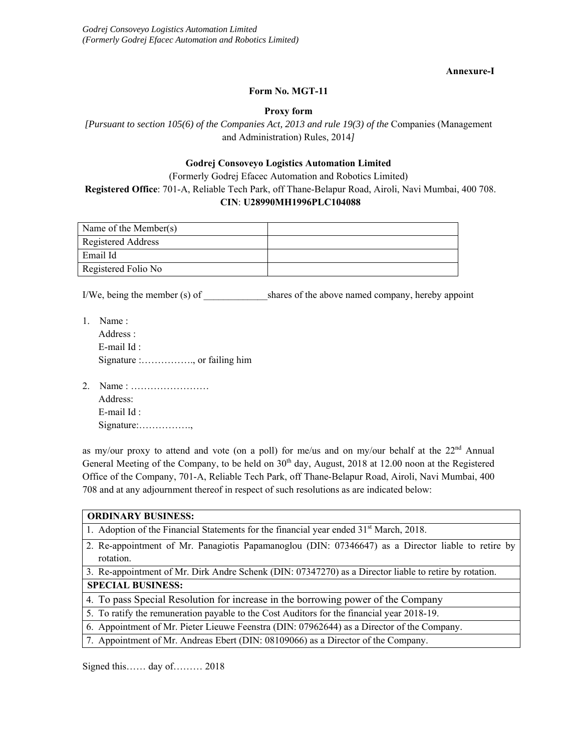**Annexure-I** 

## **Form No. MGT-11**

### **Proxy form**

*[Pursuant to section 105(6) of the Companies Act, 2013 and rule 19(3) of the* Companies (Management and Administration) Rules, 2014*]* 

## **Godrej Consoveyo Logistics Automation Limited**

(Formerly Godrej Efacec Automation and Robotics Limited) **Registered Office**: 701-A, Reliable Tech Park, off Thane-Belapur Road, Airoli, Navi Mumbai, 400 708. **CIN**: **U28990MH1996PLC104088** 

| Name of the Member(s) |  |
|-----------------------|--|
| Registered Address    |  |
| Email Id              |  |
| Registered Folio No   |  |

I/We, being the member (s) of \_\_\_\_\_\_\_\_\_\_\_\_\_\_\_\_\_shares of the above named company, hereby appoint

- 1. Name : Address : E-mail Id : Signature :……………., or failing him
- 2. Name : …………………… Address: E-mail Id : Signature:…………….,

as my/our proxy to attend and vote (on a poll) for me/us and on my/our behalf at the 22<sup>nd</sup> Annual General Meeting of the Company, to be held on 30<sup>th</sup> day, August, 2018 at 12.00 noon at the Registered Office of the Company, 701-A, Reliable Tech Park, off Thane-Belapur Road, Airoli, Navi Mumbai, 400 708 and at any adjournment thereof in respect of such resolutions as are indicated below:

| <b>ORDINARY BUSINESS:</b>                                                                                       |  |  |  |  |
|-----------------------------------------------------------------------------------------------------------------|--|--|--|--|
| 1. Adoption of the Financial Statements for the financial year ended 31 <sup>st</sup> March, 2018.              |  |  |  |  |
| 2. Re-appointment of Mr. Panagiotis Papamanoglou (DIN: 07346647) as a Director liable to retire by<br>rotation. |  |  |  |  |
| 3. Re-appointment of Mr. Dirk Andre Schenk (DIN: 07347270) as a Director liable to retire by rotation.          |  |  |  |  |
| <b>SPECIAL BUSINESS:</b>                                                                                        |  |  |  |  |
| 4. To pass Special Resolution for increase in the borrowing power of the Company                                |  |  |  |  |
| 5. To ratify the remuneration payable to the Cost Auditors for the financial year 2018-19.                      |  |  |  |  |
| 6. Appointment of Mr. Pieter Lieuwe Feenstra (DIN: 07962644) as a Director of the Company.                      |  |  |  |  |
| 7. Appointment of Mr. Andreas Ebert (DIN: 08109066) as a Director of the Company.                               |  |  |  |  |
|                                                                                                                 |  |  |  |  |

Signed this…… day of……… 2018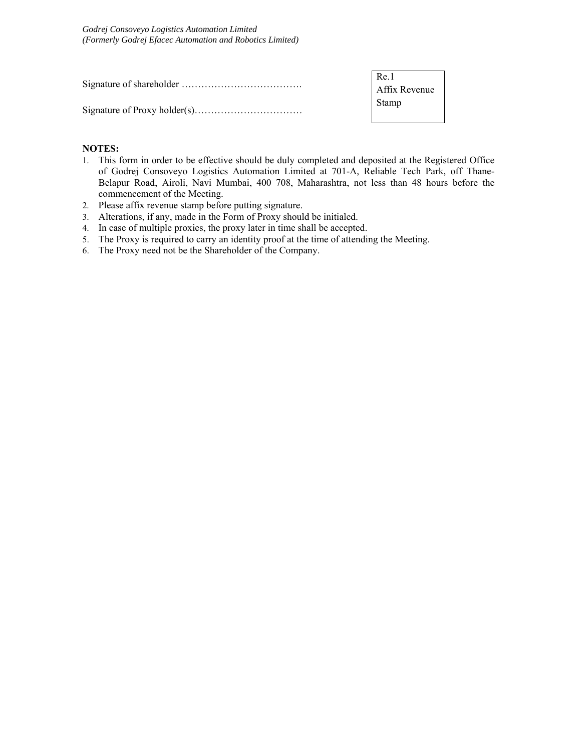| Re.1          |  |
|---------------|--|
| Affix Revenue |  |
| Stamp         |  |

## **NOTES:**

- 1. This form in order to be effective should be duly completed and deposited at the Registered Office of Godrej Consoveyo Logistics Automation Limited at 701-A, Reliable Tech Park, off Thane-Belapur Road, Airoli, Navi Mumbai, 400 708, Maharashtra, not less than 48 hours before the commencement of the Meeting.
- 2. Please affix revenue stamp before putting signature.
- 3. Alterations, if any, made in the Form of Proxy should be initialed.
- 4. In case of multiple proxies, the proxy later in time shall be accepted.
- 5. The Proxy is required to carry an identity proof at the time of attending the Meeting.
- 6. The Proxy need not be the Shareholder of the Company.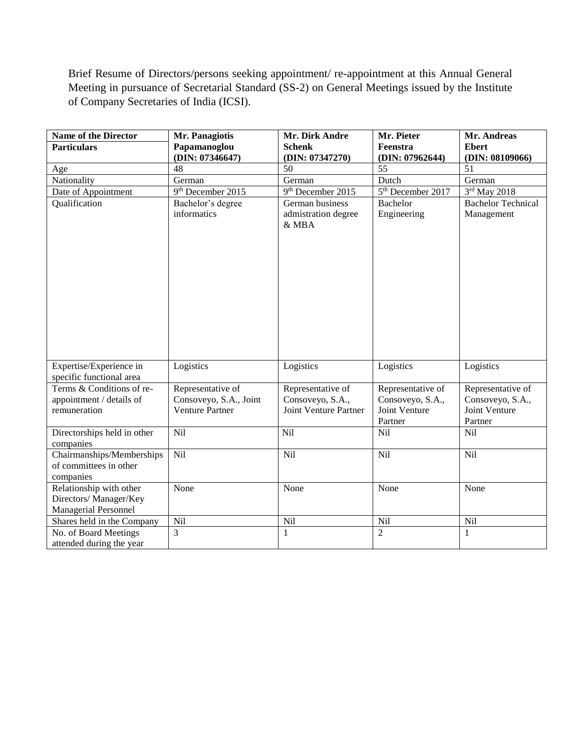Brief Resume of Directors/persons seeking appointment/ re-appointment at this Annual General Meeting in pursuance of Secretarial Standard (SS-2) on General Meetings issued by the Institute of Company Secretaries of India (ICSI).

| <b>Name of the Director</b> | Mr. Panagiotis                                   | Mr. Dirk Andre                | Mr. Pieter                        | Mr. Andreas                       |
|-----------------------------|--------------------------------------------------|-------------------------------|-----------------------------------|-----------------------------------|
| <b>Particulars</b>          | Papamanoglou                                     | <b>Schenk</b>                 | Feenstra                          | <b>Ebert</b>                      |
|                             | (DIN: 07346647)                                  | (DIN: 07347270)               | (DIN: 07962644)                   | (DIN: 08109066)                   |
| Age                         | 48                                               | 50                            | 55                                | 51                                |
| Nationality                 | German                                           | German                        | Dutch                             | German                            |
| Date of Appointment         | 9 <sup>th</sup> December 2015                    | 9 <sup>th</sup> December 2015 | 5 <sup>th</sup> December 2017     | 3rd May 2018                      |
| Qualification               | Bachelor's degree<br>informatics                 | German business               | <b>Bachelor</b>                   | <b>Bachelor Technical</b>         |
|                             |                                                  | admistration degree<br>& MBA  | Engineering                       | Management                        |
|                             |                                                  |                               |                                   |                                   |
|                             |                                                  |                               |                                   |                                   |
|                             |                                                  |                               |                                   |                                   |
|                             |                                                  |                               |                                   |                                   |
|                             |                                                  |                               |                                   |                                   |
|                             |                                                  |                               |                                   |                                   |
|                             |                                                  |                               |                                   |                                   |
|                             |                                                  |                               |                                   |                                   |
|                             |                                                  |                               |                                   |                                   |
|                             |                                                  |                               |                                   |                                   |
|                             |                                                  |                               |                                   |                                   |
|                             |                                                  |                               |                                   |                                   |
| Expertise/Experience in     | Logistics                                        | Logistics                     | Logistics                         | Logistics                         |
| specific functional area    |                                                  |                               |                                   |                                   |
| Terms & Conditions of re-   | Representative of                                | Representative of             | Representative of                 | Representative of                 |
| appointment / details of    | Consoveyo, S.A., Joint<br><b>Venture Partner</b> | Consoveyo, S.A.,              | Consoveyo, S.A.,<br>Joint Venture | Consoveyo, S.A.,<br>Joint Venture |
| remuneration                |                                                  | Joint Venture Partner         |                                   | Partner                           |
| Directorships held in other | Nil                                              | Nil                           | Partner<br>Nil                    | Nil                               |
| companies                   |                                                  |                               |                                   |                                   |
| Chairmanships/Memberships   | Nil                                              | Nil                           | Nil                               | Nil                               |
| of committees in other      |                                                  |                               |                                   |                                   |
| companies                   |                                                  |                               |                                   |                                   |
| Relationship with other     | None                                             | None                          | None                              | None                              |
| Directors/ Manager/Key      |                                                  |                               |                                   |                                   |
| <b>Managerial Personnel</b> |                                                  |                               |                                   |                                   |
| Shares held in the Company  | Nil                                              | Nil                           | <b>Nil</b>                        | Nil                               |
| No. of Board Meetings       | 3                                                | $\mathbf{1}$                  | $\overline{2}$                    | $\mathbf{1}$                      |
| attended during the year    |                                                  |                               |                                   |                                   |